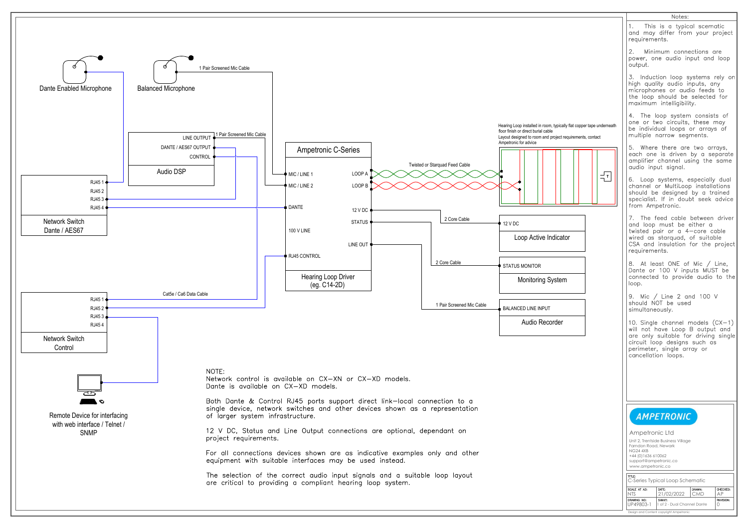

| 1. This is a typical scematic<br>and may differ from your project<br>requirements.<br>2. Minimum connections are<br>power, one audio input and loop<br>output.<br>3. Induction loop systems rely on<br>high quality audio inputs, any<br>microphones or audio feeds to<br>the loop should be selected for<br>maximum intelligibility.<br>4. The loop system consists of<br>one or two circuits, these may<br>be individual loops or arrays of<br>multiple narrow segments.<br>5. Where there are two arrays,<br>each one is driven by a separate<br>amplifier channel using the same<br>audio input signal.<br>T<br>from Ampetronic.<br>7. The feed cable between driver<br>and loop must be either a<br>twisted pair or a 4-core cable<br>wired as starquad, of suitable<br>CSA and insulation for the project<br>requirements.<br>8. At least ONE of Mic / Line,<br>Dante or 100 V inputs MUST be<br>connected to provide audio to the<br>loop.<br>9. Mic / Line 2 and 100 V<br>should NOT be used<br>simultaneously.<br>10. Single channel models $(CX-1)$<br>will not have Loop B output and<br>are only suitable for driving single<br>circuit loop designs such as<br>perimeter, single array or<br>cancellation loops.<br><b>AMPETRONIC</b><br>Ampetronic Ltd<br>Unit 2, Trentside Business Village<br>Farndon Road, Newark<br><b>NG24 4XB</b><br>+44 (0) 1636 610062<br>support@ampetronic.co<br>www.ampetronic.co<br>TITLE:<br>C-Series Typical Loop Schematic<br>SCALE AT A3:<br>DATE:<br>DRAWN:<br><b>NTS</b><br>21/02/2022<br>AP<br>CMD<br>DRAWING NO:<br>SHEET:<br>1 of 2 - Dual Channel Dante<br>UP49803-1<br>O |  | Notes:                                                                                                                                           |  |  |                  |
|-------------------------------------------------------------------------------------------------------------------------------------------------------------------------------------------------------------------------------------------------------------------------------------------------------------------------------------------------------------------------------------------------------------------------------------------------------------------------------------------------------------------------------------------------------------------------------------------------------------------------------------------------------------------------------------------------------------------------------------------------------------------------------------------------------------------------------------------------------------------------------------------------------------------------------------------------------------------------------------------------------------------------------------------------------------------------------------------------------------------------------------------------------------------------------------------------------------------------------------------------------------------------------------------------------------------------------------------------------------------------------------------------------------------------------------------------------------------------------------------------------------------------------------------------------------------------------------------------------------------------------|--|--------------------------------------------------------------------------------------------------------------------------------------------------|--|--|------------------|
| lly flat copper tape underneath<br>equirements, contact<br>tor<br>n                                                                                                                                                                                                                                                                                                                                                                                                                                                                                                                                                                                                                                                                                                                                                                                                                                                                                                                                                                                                                                                                                                                                                                                                                                                                                                                                                                                                                                                                                                                                                           |  |                                                                                                                                                  |  |  |                  |
|                                                                                                                                                                                                                                                                                                                                                                                                                                                                                                                                                                                                                                                                                                                                                                                                                                                                                                                                                                                                                                                                                                                                                                                                                                                                                                                                                                                                                                                                                                                                                                                                                               |  |                                                                                                                                                  |  |  |                  |
|                                                                                                                                                                                                                                                                                                                                                                                                                                                                                                                                                                                                                                                                                                                                                                                                                                                                                                                                                                                                                                                                                                                                                                                                                                                                                                                                                                                                                                                                                                                                                                                                                               |  |                                                                                                                                                  |  |  |                  |
|                                                                                                                                                                                                                                                                                                                                                                                                                                                                                                                                                                                                                                                                                                                                                                                                                                                                                                                                                                                                                                                                                                                                                                                                                                                                                                                                                                                                                                                                                                                                                                                                                               |  |                                                                                                                                                  |  |  |                  |
|                                                                                                                                                                                                                                                                                                                                                                                                                                                                                                                                                                                                                                                                                                                                                                                                                                                                                                                                                                                                                                                                                                                                                                                                                                                                                                                                                                                                                                                                                                                                                                                                                               |  |                                                                                                                                                  |  |  |                  |
|                                                                                                                                                                                                                                                                                                                                                                                                                                                                                                                                                                                                                                                                                                                                                                                                                                                                                                                                                                                                                                                                                                                                                                                                                                                                                                                                                                                                                                                                                                                                                                                                                               |  | 6. Loop systems, especially dual<br>channel or MultiLoop installations<br>should be designed by a trained<br>specialist. If in doubt seek advice |  |  |                  |
|                                                                                                                                                                                                                                                                                                                                                                                                                                                                                                                                                                                                                                                                                                                                                                                                                                                                                                                                                                                                                                                                                                                                                                                                                                                                                                                                                                                                                                                                                                                                                                                                                               |  |                                                                                                                                                  |  |  |                  |
|                                                                                                                                                                                                                                                                                                                                                                                                                                                                                                                                                                                                                                                                                                                                                                                                                                                                                                                                                                                                                                                                                                                                                                                                                                                                                                                                                                                                                                                                                                                                                                                                                               |  |                                                                                                                                                  |  |  |                  |
|                                                                                                                                                                                                                                                                                                                                                                                                                                                                                                                                                                                                                                                                                                                                                                                                                                                                                                                                                                                                                                                                                                                                                                                                                                                                                                                                                                                                                                                                                                                                                                                                                               |  |                                                                                                                                                  |  |  |                  |
|                                                                                                                                                                                                                                                                                                                                                                                                                                                                                                                                                                                                                                                                                                                                                                                                                                                                                                                                                                                                                                                                                                                                                                                                                                                                                                                                                                                                                                                                                                                                                                                                                               |  |                                                                                                                                                  |  |  |                  |
|                                                                                                                                                                                                                                                                                                                                                                                                                                                                                                                                                                                                                                                                                                                                                                                                                                                                                                                                                                                                                                                                                                                                                                                                                                                                                                                                                                                                                                                                                                                                                                                                                               |  |                                                                                                                                                  |  |  |                  |
|                                                                                                                                                                                                                                                                                                                                                                                                                                                                                                                                                                                                                                                                                                                                                                                                                                                                                                                                                                                                                                                                                                                                                                                                                                                                                                                                                                                                                                                                                                                                                                                                                               |  |                                                                                                                                                  |  |  |                  |
|                                                                                                                                                                                                                                                                                                                                                                                                                                                                                                                                                                                                                                                                                                                                                                                                                                                                                                                                                                                                                                                                                                                                                                                                                                                                                                                                                                                                                                                                                                                                                                                                                               |  |                                                                                                                                                  |  |  |                  |
|                                                                                                                                                                                                                                                                                                                                                                                                                                                                                                                                                                                                                                                                                                                                                                                                                                                                                                                                                                                                                                                                                                                                                                                                                                                                                                                                                                                                                                                                                                                                                                                                                               |  |                                                                                                                                                  |  |  |                  |
|                                                                                                                                                                                                                                                                                                                                                                                                                                                                                                                                                                                                                                                                                                                                                                                                                                                                                                                                                                                                                                                                                                                                                                                                                                                                                                                                                                                                                                                                                                                                                                                                                               |  |                                                                                                                                                  |  |  | CHECKED:         |
| Design and Content copyright Ampetronic                                                                                                                                                                                                                                                                                                                                                                                                                                                                                                                                                                                                                                                                                                                                                                                                                                                                                                                                                                                                                                                                                                                                                                                                                                                                                                                                                                                                                                                                                                                                                                                       |  |                                                                                                                                                  |  |  | <b>REVISION:</b> |